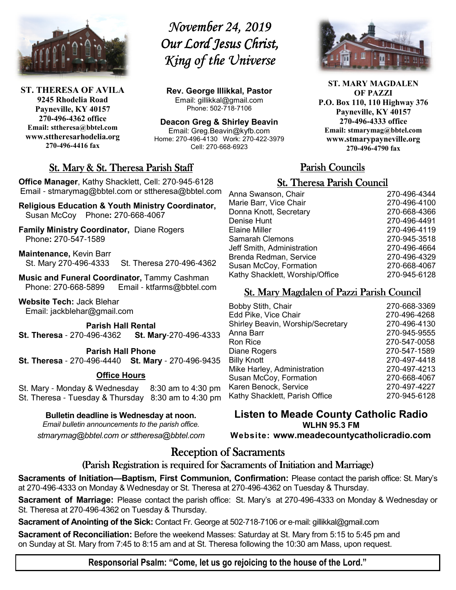

**ST. THERESA OF AVILA 9245 Rhodelia Road Payneville, KY 40157 270-496-4362 office Email: sttheresa@bbtel.com www.sttheresarhodelia.org 270-496-4416 fax**

# *November 24, 2019* **Our Lord Jesus Christ,** *King of the Universe*

**Rev. George Illikkal, Pastor** Email: gillikkal@gmail.com Phone: 502-718-7106

**Deacon Greg & Shirley Beavin** Email: Greg.Beavin@kyfb.com Home: 270-496-4130 Work: 270-422-3979 Cell: 270-668-6923

# St. Mary & St. Theresa Parish Staff

**Office Manager**, Kathy Shacklett, Cell: 270-945-6128 Email - stmarymag@bbtel.com or sttheresa@bbtel.com

**Religious Education & Youth Ministry Coordinator,** Susan McCoy Phone**:** 270-668-4067

**Family Ministry Coordinator,** Diane Rogers Phone**:** 270-547-1589

**Maintenance,** Kevin Barr St. Mary 270-496-4333 St. Theresa 270-496-4362

**Music and Funeral Coordinator, Tammy Cashman**<br>Phone: 270-668-5899 Email - ktfarms@bbtel.co Email - ktfarms@bbtel.com

**Website Tech:** Jack Blehar Email: jackblehar@gmail.com

**Parish Hall Rental St. Theresa** - 270-496-4362 **St. Mary**-270-496-4333

**Parish Hall Phone**

**St. Theresa** - 270-496-4440 **St. Mary** - 270-496-9435

#### **Office Hours**

St. Mary - Monday & Wednesday 8:30 am to 4:30 pm St. Theresa - Tuesday & Thursday 8:30 am to 4:30 pm

**Bulletin deadline is Wednesday at noon.**

*Email bulletin announcements to the parish office. stmarymag@bbtel.com or sttheresa@bbtel.com*



**ST. MARY MAGDALEN OF PAZZI P.O. Box 110, 110 Highway 376 Payneville, KY 40157 270-496-4333 office Email: stmarymag@bbtel.com www.stmarypayneville.org 270-496-4790 fax**

# Parish Councils

### **St. Theresa Parish Council**

| Anna Swanson, Chair             | 270-496-4344 |
|---------------------------------|--------------|
| Marie Barr, Vice Chair          | 270-496-4100 |
| Donna Knott, Secretary          | 270-668-4366 |
| Denise Hunt                     | 270-496-4491 |
| Elaine Miller                   | 270-496-4119 |
| Samarah Clemons                 | 270-945-3518 |
| Jeff Smith, Administration      | 270-496-4664 |
| Brenda Redman, Service          | 270-496-4329 |
| Susan McCoy, Formation          | 270-668-4067 |
| Kathy Shacklett, Worship/Office | 270-945-6128 |
|                                 |              |

### St. Mary Magdalen of Pazzi Parish Council

| <b>Bobby Stith, Chair</b>         | 270-668-3369 |
|-----------------------------------|--------------|
| Edd Pike, Vice Chair              | 270-496-4268 |
| Shirley Beavin, Worship/Secretary | 270-496-4130 |
| Anna Barr                         | 270-945-9555 |
| Ron Rice                          | 270-547-0058 |
| Diane Rogers                      | 270-547-1589 |
| <b>Billy Knott</b>                | 270-497-4418 |
| Mike Harley, Administration       | 270-497-4213 |
| Susan McCoy, Formation            | 270-668-4067 |
| Karen Benock, Service             | 270-497-4227 |
| Kathy Shacklett, Parish Office    | 270-945-6128 |
|                                   |              |

**Listen to Meade County Catholic Radio WLHN 95.3 FM Website: www.meadecountycatholicradio.com**

# Reception of Sacraments

### (Parish Registration is required for Sacraments of Initiation and Marriage)

**Sacraments of Initiation—Baptism, First Communion, Confirmation:** Please contact the parish office: St. Mary's at 270-496-4333 on Monday & Wednesday or St. Theresa at 270-496-4362 on Tuesday & Thursday.

**Sacrament of Marriage:** Please contact the parish office: St. Mary's at 270-496-4333 on Monday & Wednesday or St. Theresa at 270-496-4362 on Tuesday & Thursday.

**Sacrament of Anointing of the Sick:** Contact Fr. George at 502-718-7106 or e-mail: gillikkal@gmail.com

**Sacrament of Reconciliation:** Before the weekend Masses: Saturday at St. Mary from 5:15 to 5:45 pm and on Sunday at St. Mary from 7:45 to 8:15 am and at St. Theresa following the 10:30 am Mass, upon request.

**Responsorial Psalm: "Come, let us go rejoicing to the house of the Lord."**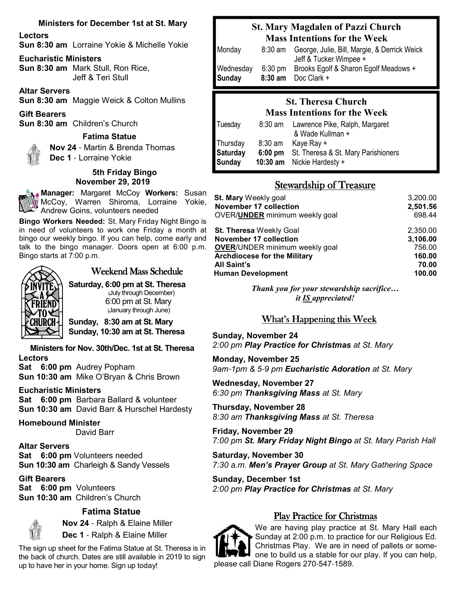#### **Ministers for December 1st at St. Mary**

#### **Lectors**

**Sun 8:30 am** Lorraine Yokie & Michelle Yokie

#### **Eucharistic Ministers**

**Sun 8:30 am** Mark Stull, Ron Rice, Jeff & Teri Stull

**Altar Servers**

**Sun 8:30 am** Maggie Weick & Colton Mullins

**Gift Bearers**

**Sun 8:30 am** Children's Church

#### **Fatima Statue Nov 24** - Martin & Brenda Thomas



 **Dec 1** - Lorraine Yokie

#### **5th Friday Bingo November 29, 2019**

**Manager:** Margaret McCoy **Workers:** Susan McCoy, Warren Shiroma, Lorraine Yokie, Andrew Goins, volunteers needed

**Bingo Workers Needed:** St. Mary Friday Night Bingo is in need of volunteers to work one Friday a month at bingo our weekly bingo. If you can help, come early and talk to the bingo manager. Doors open at 6:00 p.m. Bingo starts at 7:00 p.m.



# Weekend Mass Schedule

**Saturday, 6:00 pm at St. Theresa** (July through December) 6:00 pm at St. Mary (January through June)

**Sunday, 8:30 am at St. Mary Sunday, 10:30 am at St. Theresa**

**Ministers for Nov. 30th/Dec. 1st at St. Theresa Lectors**

**Sat 6:00 pm** Audrey Popham **Sun 10:30 am** Mike O'Bryan & Chris Brown

#### **Eucharistic Ministers**

**Sat 6:00 pm** Barbara Ballard & volunteer **Sun 10:30 am** David Barr & Hurschel Hardesty

#### **Homebound Minister**

David Barr

**Altar Servers Sat 6:00 pm** Volunteers needed **Sun 10:30 am** Charleigh & Sandy Vessels

**Gift Bearers Sat 6:00 pm** Volunteers **Sun 10:30 am** Children's Church

### **Fatima Statue**



 **Nov 24** - Ralph & Elaine Miller **Dec 1** - Ralph & Elaine Miller

The sign up sheet for the Fatima Statue at St. Theresa is in the back of church. Dates are still available in 2019 to sign up to have her in your home. Sign up today!

# **St. Mary Magdalen of Pazzi Church Mass Intentions for the Week**

| Monday              | 8:30 am           | George, Julie, Bill, Margie, & Derrick Weick<br>Jeff & Tucker Wimpee + |
|---------------------|-------------------|------------------------------------------------------------------------|
| Wednesday<br>Sunday | $6:30 \text{ pm}$ | Brooks Egolf & Sharon Egolf Meadows +<br>$8:30$ am Doc Clark +         |

# **St. Theresa Church Mass Intentions for the Week**

| Tuesday  | $8:30$ am | Lawrence Pike, Ralph, Margaret              |
|----------|-----------|---------------------------------------------|
|          |           | & Wade Kullman +                            |
| Thursday | $8:30$ am | Kaye Ray +                                  |
| Saturday |           | 6:00 pm St. Theresa & St. Mary Parishioners |
| Sunday   |           | 10:30 $am$ Nickie Hardesty +                |

### Stewardship of Treasure

| <b>St. Mary Weekly goal</b>            | 3,200.00 |
|----------------------------------------|----------|
| <b>November 17 collection</b>          | 2,501.56 |
| OVER/ <b>UNDER</b> minimum weekly goal | 698.44   |
| <b>St. Theresa Weekly Goal</b>         | 2,350.00 |
| <b>November 17 collection</b>          | 3,106.00 |
| <b>OVER/UNDER minimum weekly goal</b>  | 756.00   |
| <b>Archdiocese for the Military</b>    | 160.00   |
| <b>All Saint's</b>                     | 70.00    |
| <b>Human Development</b>               | 100.00   |

*Thank you for your stewardship sacrifice… it IS appreciated!*

# What's Happening this Week

**Sunday, November 24** *2:00 pm Play Practice for Christmas at St. Mary*

**Monday, November 25** *9am*-*1pm & 5*-*9 pm Eucharistic Adoration at St. Mary*

**Wednesday, November 27** *6:30 pm Thanksgiving Mass at St. Mary*

**Thursday, November 28** *8:30 am Thanksgiving Mass at St. Theresa*

**Friday, November 29** *7:00 pm St. Mary Friday Night Bingo at St. Mary Parish Hall*

**Saturday, November 30** *7:30 a.m. Men's Prayer Group at St. Mary Gathering Space*

**Sunday, December 1st** *2:00 pm Play Practice for Christmas at St. Mary*

# Play Practice for Christmas



We are having play practice at St. Mary Hall each Sunday at 2:00 p.m. to practice for our Religious Ed. Christmas Play. We are in need of pallets or someone to build us a stable for our play. If you can help, please call Diane Rogers 270-547-1589.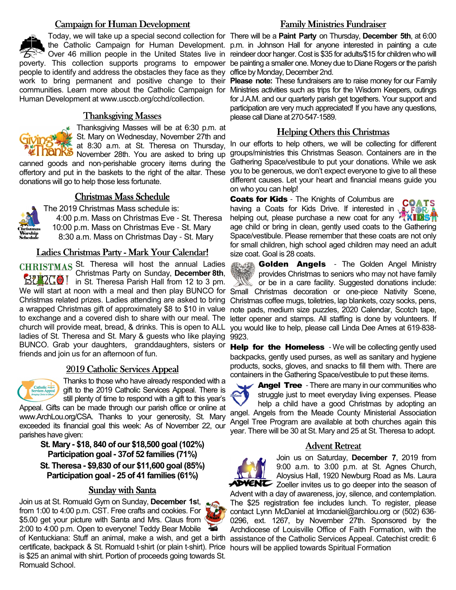#### Campaign for Human Development

people to identify and address the obstacles they face as they office by Monday, December 2nd. work to bring permanent and positive change to their **Please note:** These fundraisers are to raise money for our Family Human Development at www.usccb.org/cchd/collection.

#### Thanksgiving Masses



 $\epsilon$  Thanksgiving Masses will be at 6:30 p.m. at St. Mary on Wednesday, November 27th and at 8:30 a.m. at St. Theresa on Thursday, **NODKS** November 28th. You are asked to bring up

canned goods and non-perishable grocery items during the offertory and put in the baskets to the right of the altar. These donations will go to help those less fortunate.

#### Christmas Mass Schedule



The 2019 Christmas Mass schedule is: 4:00 p.m. Mass on Christmas Eve - St. Theresa 10:00 p.m. Mass on Christmas Eve - St. Mary 8:30 a.m. Mass on Christmas Day - St. Mary

#### Ladies Christmas Party - Mark Your Calendar!

CHRISTMAS St. Theresa will host the annual Ladies Christmas Party on Sunday, **December 8th**, **BUNGO!** in St. Theresa Parish Hall from 12 to 3 pm. church will provide meat, bread, & drinks. This is open to ALL ladies of St. Theresa and St. Mary & guests who like playing 9923. BUNCO. Grab your daughters, granddaughters, sisters or friends and join us for an afternoon of fun.

#### 2019 Catholic Services Appeal



Thanks to those who have already responded with a gift to the 2019 Catholic Services Appeal. There is still plenty of time to respond with a gift to this year's

Appeal. Gifts can be made through our parish office or online at www.ArchLou.org/CSA. Thanks to your generosity, St. Mary exceeded its financial goal this week: As of November 22, our parishes have given:

> **St. Mary - \$18, 840 of our \$18,500 goal (102%) Participation goal - 37of 52 families (71%)**

> **St. Theresa - \$9,830 of our \$11,600 goal (85%) Participation goal - 25 of 41 families (61%)**

#### Sunday with Santa

Join us at St. Romuald Gym on Sunday, **December 1s**t, from 1:00 to 4:00 p.m. CST. Free crafts and cookies. For \$5.00 get your picture with Santa and Mrs. Claus from 2:00 to 4:00 p.m. Open to everyone! Teddy Bear Mobile

of Kentuckiana: Stuff an animal, make a wish, and get a birth certificate, backpack & St. Romuald t-shirt (or plain t-shirt). Price hours will be applied towards Spiritual Formationis \$25 an animal with shirt. Portion of proceeds going towards St. Romuald School.

### Family Ministries Fundraiser

Today, we will take up a special second collection for There will be a **Paint Party** on Thursday, **December 5th**, at 6:00 the Catholic Campaign for Human Development. p.m. in Johnson Hall for anyone interested in painting a cute Over 46 million people in the United States live in reindeer door hanger. Cost is \$35 for adults/\$15 for children who will poverty. This collection supports programs to empower be painting a smaller one. Money due to Diane Rogers or the parish

communities. Learn more about the Catholic Campaign for Ministries activities such as trips for the Wisdom Keepers, outings for J.A.M. and our quarterly parish get togethers. Your support and participation are very much appreciated! If you have any questions, please call Diane at 270-547-1589.

#### Helping Others this Christmas

 In our efforts to help others, we will be collecting for different groups/ministries this Christmas Season. Containers are in the Gathering Space/vestibule to put your donations. While we ask you to be generous, we don't expect everyone to give to all these different causes. Let your heart and financial means guide you on who you can help!

**Coats for Kids** - The Knights of Columbus are COATS having a Coats for Kids Drive. If interested in  $\sqrt{ }$ A FOR helping out, please purchase a new coat for any  $\sqrt{ }$ **TKIDS1** age child or bring in clean, gently used coats to the Gathering Space/vestibule. Please remember that these coats are not only for small children, high school aged children may need an adult size coat. Goal is 28 coats.



**Help for the Homeless** - We will be collecting gently used backpacks, gently used purses, as well as sanitary and hygiene products, socks, gloves, and snacks to fill them with. There are containers in the Gathering Space/vestibule to put these items.



**Angel Tree** - There are many in our communities who struggle just to meet everyday living expenses. Please help a child have a good Christmas by adopting an

angel. Angels from the Meade County Ministerial Association Angel Tree Program are available at both churches again this year. There will be 30 at St. Mary and 25 at St. Theresa to adopt.

#### **Advent Retreat**



Join us on Saturday, **December 7**, 2019 from 9:00 a.m. to 3:00 p.m. at St. Agnes Church, Aloysius Hall, 1920 Newburg Road as Ms. Laura  $\blacktriangle$ **DVENC** Zoeller invites us to go deeper into the season of

Advent with a day of awareness, joy, silence, and contemplation. The \$25 registration fee includes lunch. To register, please contact Lynn McDaniel at lmcdaniel@archlou.org or (502) 636- 0296, ext. 1267, by November 27th. Sponsored by the Archdiocese of Louisville Office of Faith Formation, with the assistance of the Catholic Services Appeal. Catechist credit: 6